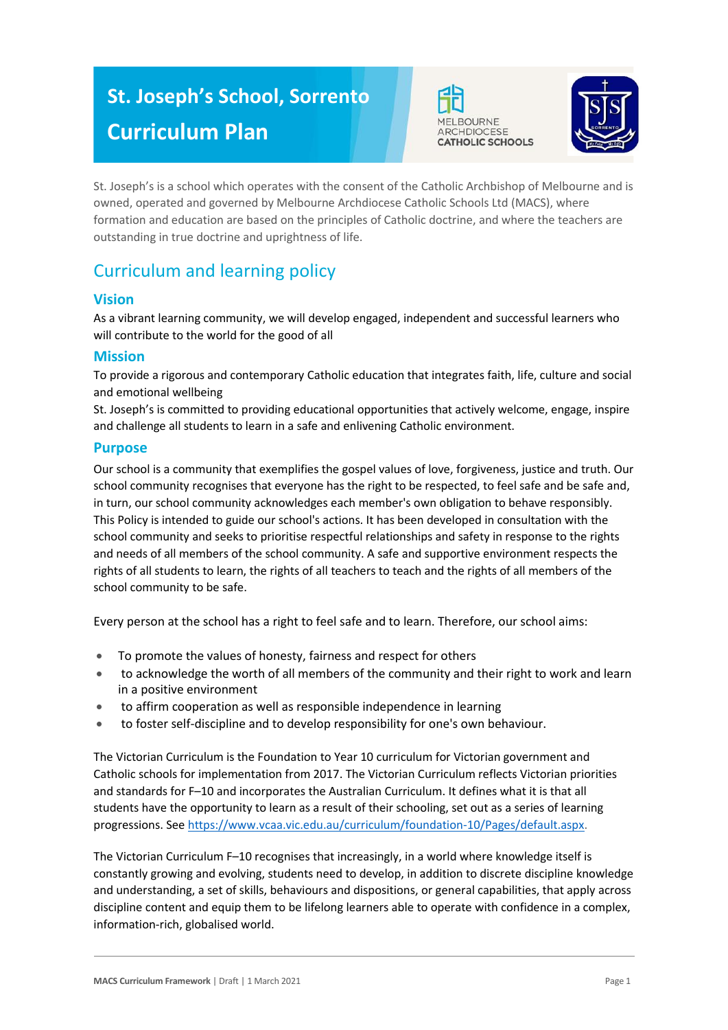# **St. Joseph's School, Sorrento Curriculum Plan**





St. Joseph's is a school which operates with the consent of the Catholic Archbishop of Melbourne and is owned, operated and governed by Melbourne Archdiocese Catholic Schools Ltd (MACS), where formation and education are based on the principles of Catholic doctrine, and where the teachers are outstanding in true doctrine and uprightness of life.

# Curriculum and learning policy

# **Vision**

As a vibrant learning community, we will develop engaged, independent and successful learners who will contribute to the world for the good of all

# **Mission**

To provide a rigorous and contemporary Catholic education that integrates faith, life, culture and social and emotional wellbeing

St. Joseph's is committed to providing educational opportunities that actively welcome, engage, inspire and challenge all students to learn in a safe and enlivening Catholic environment.

## **Purpose**

Our school is a community that exemplifies the gospel values of love, forgiveness, justice and truth. Our school community recognises that everyone has the right to be respected, to feel safe and be safe and, in turn, our school community acknowledges each member's own obligation to behave responsibly. This Policy is intended to guide our school's actions. It has been developed in consultation with the school community and seeks to prioritise respectful relationships and safety in response to the rights and needs of all members of the school community. A safe and supportive environment respects the rights of all students to learn, the rights of all teachers to teach and the rights of all members of the school community to be safe.

Every person at the school has a right to feel safe and to learn. Therefore, our school aims:

- To promote the values of honesty, fairness and respect for others
- to acknowledge the worth of all members of the community and their right to work and learn in a positive environment
- to affirm cooperation as well as responsible independence in learning
- to foster self-discipline and to develop responsibility for one's own behaviour.

The Victorian Curriculum is the Foundation to Year 10 curriculum for Victorian government and Catholic schools for implementation from 2017. The Victorian Curriculum reflects Victorian priorities and standards for F–10 and incorporates the Australian Curriculum. It defines what it is that all students have the opportunity to learn as a result of their schooling, set out as a series of learning progressions. See [https://www.vcaa.vic.edu.au/curriculum/foundation-10/Pages/default.aspx.](https://www.vcaa.vic.edu.au/curriculum/foundation-10/Pages/default.aspx)

The Victorian Curriculum F–10 recognises that increasingly, in a world where knowledge itself is constantly growing and evolving, students need to develop, in addition to discrete discipline knowledge and understanding, a set of skills, behaviours and dispositions, or general capabilities, that apply across discipline content and equip them to be lifelong learners able to operate with confidence in a complex, information-rich, globalised world.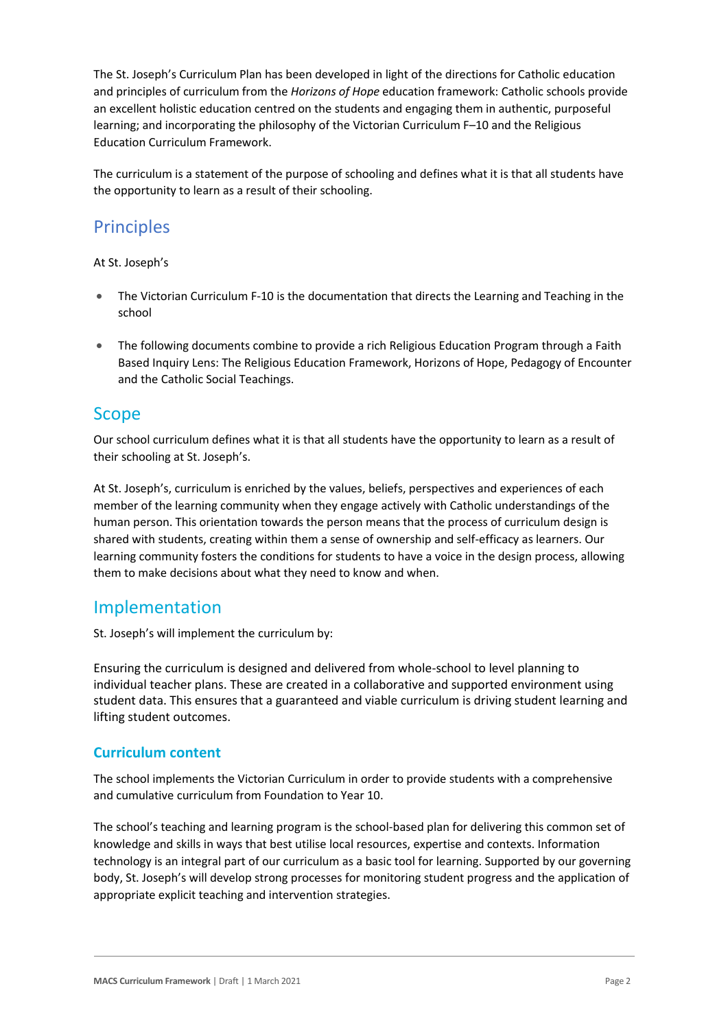The St. Joseph's Curriculum Plan has been developed in light of the directions for Catholic education and principles of curriculum from the *Horizons of Hope* education framework: Catholic schools provide an excellent holistic education centred on the students and engaging them in authentic, purposeful learning; and incorporating the philosophy of the Victorian Curriculum F–10 and the Religious Education Curriculum Framework.

The curriculum is a statement of the purpose of schooling and defines what it is that all students have the opportunity to learn as a result of their schooling.

# **Principles**

#### At St. Joseph's

- The Victorian Curriculum F-10 is the documentation that directs the Learning and Teaching in the school
- The following documents combine to provide a rich Religious Education Program through a Faith Based Inquiry Lens: The Religious Education Framework, Horizons of Hope, Pedagogy of Encounter and the Catholic Social Teachings.

# Scope

Our school curriculum defines what it is that all students have the opportunity to learn as a result of their schooling at St. Joseph's.

At St. Joseph's, curriculum is enriched by the values, beliefs, perspectives and experiences of each member of the learning community when they engage actively with Catholic understandings of the human person. This orientation towards the person means that the process of curriculum design is shared with students, creating within them a sense of ownership and self-efficacy as learners. Our learning community fosters the conditions for students to have a voice in the design process, allowing them to make decisions about what they need to know and when.

# Implementation

St. Joseph's will implement the curriculum by:

Ensuring the curriculum is designed and delivered from whole-school to level planning to individual teacher plans. These are created in a collaborative and supported environment using student data. This ensures that a guaranteed and viable curriculum is driving student learning and lifting student outcomes.

# **Curriculum content**

The school implements the Victorian Curriculum in order to provide students with a comprehensive and cumulative curriculum from Foundation to Year 10.

The school's teaching and learning program is the school-based plan for delivering this common set of knowledge and skills in ways that best utilise local resources, expertise and contexts. Information technology is an integral part of our curriculum as a basic tool for learning. Supported by our governing body, St. Joseph's will develop strong processes for monitoring student progress and the application of appropriate explicit teaching and intervention strategies.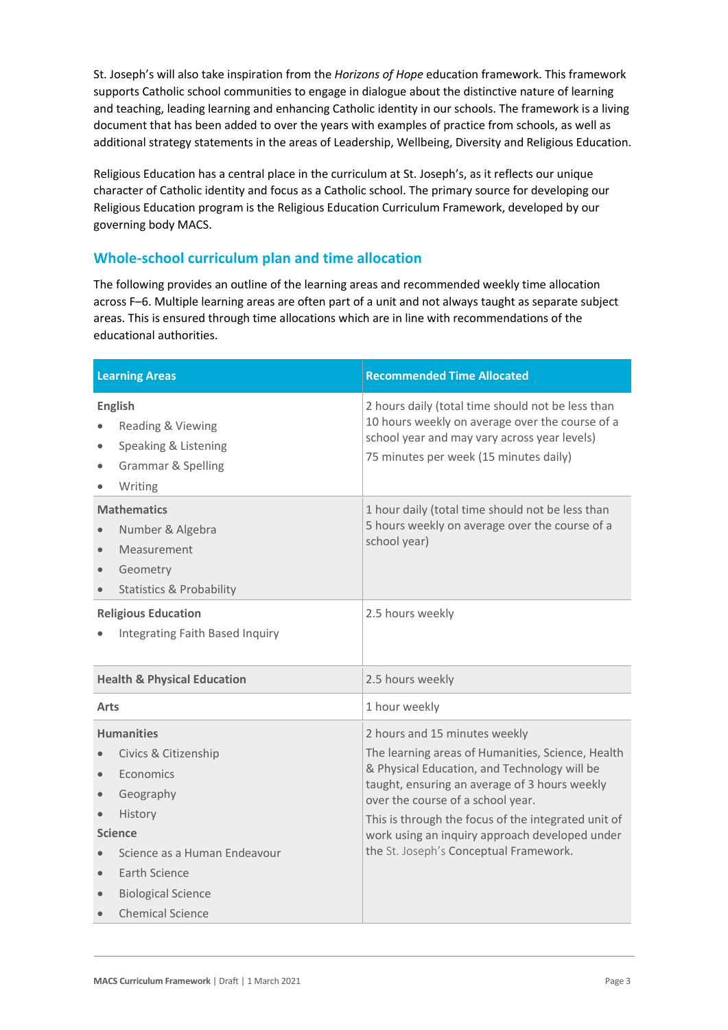St. Joseph's will also take inspiration from the *Horizons of Hope* education framework. This framework supports Catholic school communities to engage in dialogue about the distinctive nature of learning and teaching, leading learning and enhancing Catholic identity in our schools. The framework is a living document that has been added to over the years with examples of practice from schools, as well as additional strategy statements in the areas of Leadership, Wellbeing, Diversity and Religious Education.

Religious Education has a central place in the curriculum at St. Joseph's, as it reflects our unique character of Catholic identity and focus as a Catholic school. The primary source for developing our Religious Education program is the Religious Education Curriculum Framework, developed by our governing body MACS.

# **Whole-school curriculum plan and time allocation**

The following provides an outline of the learning areas and recommended weekly time allocation across F–6. Multiple learning areas are often part of a unit and not always taught as separate subject areas. This is ensured through time allocations which are in line with recommendations of the educational authorities.

| <b>Learning Areas</b>                                                                                                                                                                                                        | <b>Recommended Time Allocated</b>                                                                                                                                                                                                                                                                                                                                           |
|------------------------------------------------------------------------------------------------------------------------------------------------------------------------------------------------------------------------------|-----------------------------------------------------------------------------------------------------------------------------------------------------------------------------------------------------------------------------------------------------------------------------------------------------------------------------------------------------------------------------|
| <b>English</b><br>Reading & Viewing<br>Speaking & Listening<br><b>Grammar &amp; Spelling</b><br>Writing                                                                                                                      | 2 hours daily (total time should not be less than<br>10 hours weekly on average over the course of a<br>school year and may vary across year levels)<br>75 minutes per week (15 minutes daily)                                                                                                                                                                              |
| <b>Mathematics</b><br>Number & Algebra<br>Measurement<br>Geometry<br><b>Statistics &amp; Probability</b>                                                                                                                     | 1 hour daily (total time should not be less than<br>5 hours weekly on average over the course of a<br>school year)                                                                                                                                                                                                                                                          |
| <b>Religious Education</b><br>Integrating Faith Based Inquiry                                                                                                                                                                | 2.5 hours weekly                                                                                                                                                                                                                                                                                                                                                            |
| <b>Health &amp; Physical Education</b>                                                                                                                                                                                       | 2.5 hours weekly                                                                                                                                                                                                                                                                                                                                                            |
| <b>Arts</b>                                                                                                                                                                                                                  | 1 hour weekly                                                                                                                                                                                                                                                                                                                                                               |
| <b>Humanities</b><br>Civics & Citizenship<br>Economics<br>Geography<br>$\bullet$<br>History<br><b>Science</b><br>Science as a Human Endeavour<br>Earth Science<br>$\bullet$<br><b>Biological Science</b><br>Chemical Science | 2 hours and 15 minutes weekly<br>The learning areas of Humanities, Science, Health<br>& Physical Education, and Technology will be<br>taught, ensuring an average of 3 hours weekly<br>over the course of a school year.<br>This is through the focus of the integrated unit of<br>work using an inquiry approach developed under<br>the St. Joseph's Conceptual Framework. |